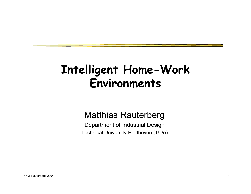## **Intelligent Home-Work Environments**

#### Matthias Rauterberg

Department of Industrial Design Technical University Eindhoven (TU/e)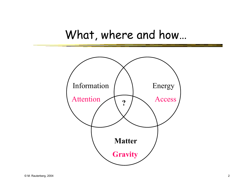#### What, where and how…

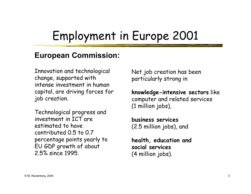# Employment in Europe 2001

#### **European Commission:**

Innovation and technological change, supported with intense investment in human capital, are driving forces for job creation.

Technological progress and investment in ICT are estimated to have contributed 0.5 to 0.7 percentage points yearly to EU GDP growth of about 2.5% since 1995.

Net job creation has been particularly strong in

**knowledge-intensive sectors** like computer and related services (1 million jobs),

**business services** (2.5 million jobs), and

**health, education and social services** (4 million jobs).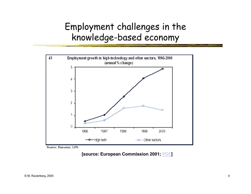#### Employment challenges in the knowledge-based economy



Source: Eurostat, LFS

**[source: European Commission 2001; PDF]**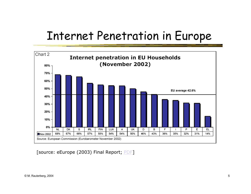## Internet Penetration in Europe



[source: eEurope (2003) Final Report; PDF]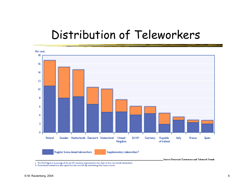## Distribution of Teleworkers



a The EU10 figure is an average of the tee EU countries represented in the chart. It does not include Switzerland.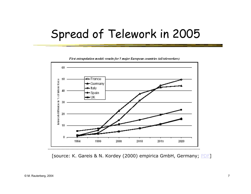## Spread of Telework in 2005



First extrapolation model: results for 5 major European countries (all teleworkers)

[source: K. Gareis & N. Kordey (2000) empirica GmbH, Germany; PDF]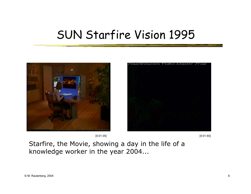## SUN Starfire Vision 1995





[0:01:35] [0:01:40]

Starfire, the Movie, showing a day in the life of a knowledge worker in the year 2004...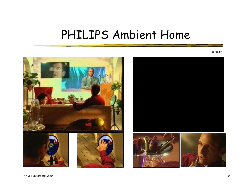#### PHILIPS Ambient Home

[0:00:47]

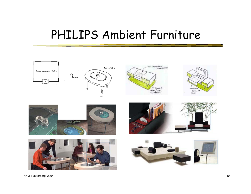#### PHILIPS Ambient Furniture

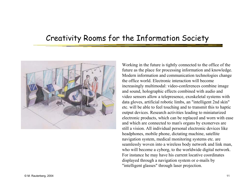#### Creativity Rooms for the Information Society



Working in the future is tightly connected to the office of the future as the place for processing information and knowledge. Modern information and communication technologies change the office world. Electronic interaction will become increasingly multimodal: video-conferences combine image and sound, holographic effects combined with audio and video sensors allow a telepresence, exoskeletal systems with data gloves, artificial robotic limbs, an "intelligent 2nd skin" etc. will be able to feel touching and to transmit this to haptic output devices. Research activities leading to miniaturized electronic products, which can be replaced and worn with ease and which are connected to man's organs by exonerves are still a vision. All individual personal electronic devices like headphones, mobile phone, dictating machine, satellite navigation system, medical monitoring systems etc. are seamlessly woven into a wireless body network and link man, who will become a cyborg, to the worldwide digital network. For instance he may have his current locative coordinates displayed through a navigation system or e-mails by "intelligent glasses" through laser projection.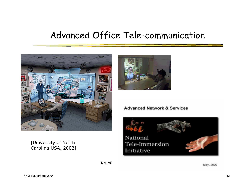#### Advanced Office Tele-communication



[University of North Carolina USA, 2002]



#### **Advanced Network & Services**



May, 2000

[0:01:03]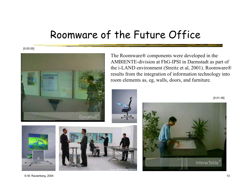#### Roomware of the Future Office

[0:00:55]



The Roomware® components were developed in the AMBIENTE-division at FhG-IPSI in Darmstadt as part of the i-LAND environment (Streitz et al, 2001). Roomware® results from the integration of information technology into room elements as, eg, walls, doors, and furniture.









 $@$  M. Rauterberg, 2004  $13$ 

[0:01:38]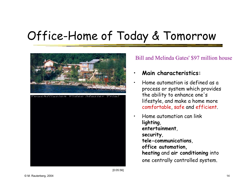# Office-Home of Today & Tomorrow



buchillusion Video Master

#### Bill and Melinda Gates' \$97 million house

#### •**Main characteristics:**

- • Home automation is defined as a process or system which provides the ability to enhance one's lifestyle, and make a home more comfortable, safe and efficient.
	- Home automation can link **lighting**, **entertainment**, **security**, **tele-communications**, **office automation, heating** and **air conditioning** into one centrally controlled system.

[0:05:56]

•